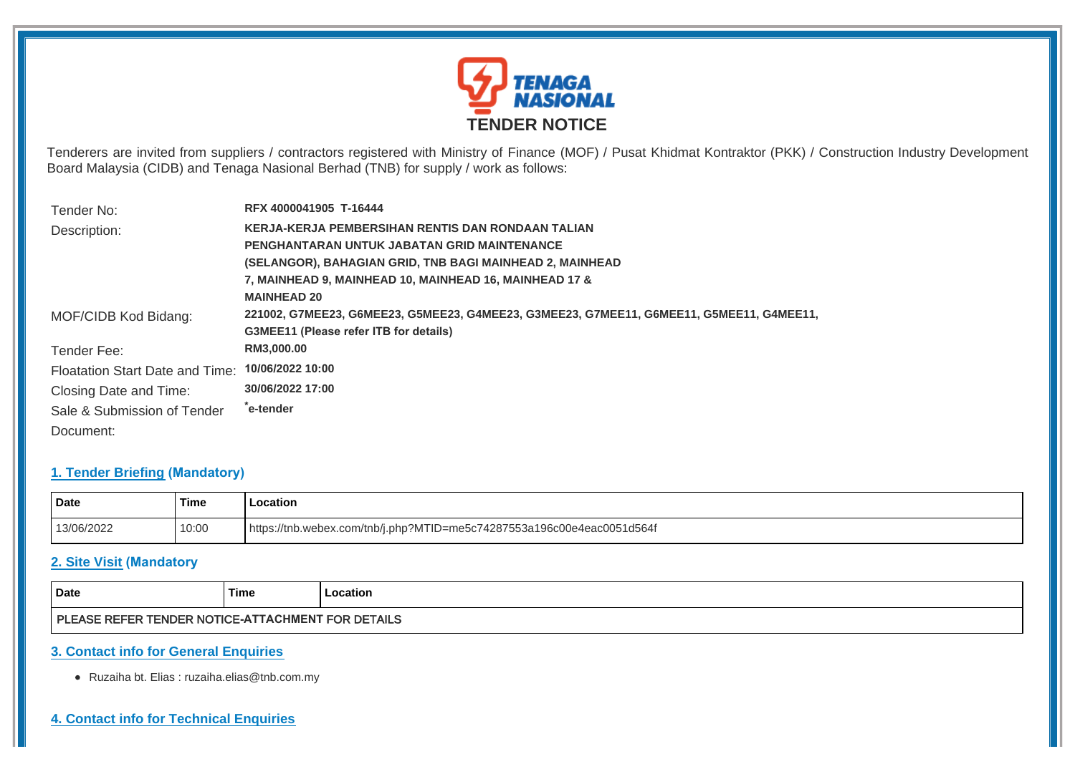

Tenderers are invited from suppliers / contractors registered with Ministry of Finance (MOF) / Pusat Khidmat Kontraktor (PKK) / Construction Industry Development Board Malaysia (CIDB) and Tenaga Nasional Berhad (TNB) for supply / work as follows:

| Tender No:                      | RFX 4000041905 T-16444                                                                   |  |  |
|---------------------------------|------------------------------------------------------------------------------------------|--|--|
| Description:                    | KERJA-KERJA PEMBERSIHAN RENTIS DAN RONDAAN TALIAN                                        |  |  |
|                                 | PENGHANTARAN UNTUK JABATAN GRID MAINTENANCE                                              |  |  |
|                                 | (SELANGOR), BAHAGIAN GRID, TNB BAGI MAINHEAD 2, MAINHEAD                                 |  |  |
|                                 | 7, MAINHEAD 9, MAINHEAD 10, MAINHEAD 16, MAINHEAD 17 &                                   |  |  |
|                                 | <b>MAINHEAD 20</b>                                                                       |  |  |
| MOF/CIDB Kod Bidang:            | 221002, G7MEE23, G6MEE23, G5MEE23, G4MEE23, G3MEE23, G7MEE11, G6MEE11, G5MEE11, G4MEE11, |  |  |
|                                 | <b>G3MEE11 (Please refer ITB for details)</b>                                            |  |  |
| Tender Fee:                     | RM3,000.00                                                                               |  |  |
| Floatation Start Date and Time: | 10/06/2022 10:00                                                                         |  |  |
| Closing Date and Time:          | 30/06/2022 17:00                                                                         |  |  |
| Sale & Submission of Tender     | ê-tender                                                                                 |  |  |
| Document:                       |                                                                                          |  |  |

## **1. Tender Briefing (Mandatory)**

| Date       | <b>Time</b> | ∟ocation                                                               |  |
|------------|-------------|------------------------------------------------------------------------|--|
| 13/06/2022 | 10:00       | https://tnb.webex.com/tnb/j.php?MTID=me5c74287553a196c00e4eac0051d564f |  |

## **2. Site Visit (Mandatory**

| Date                                                                         | <b>Time</b> | ocation |  |  |  |  |
|------------------------------------------------------------------------------|-------------|---------|--|--|--|--|
| <b>FOR DETAILS</b><br>: TENDER NOTICE-ATTACHMENT<br><b>PLEASE</b><br>E REFER |             |         |  |  |  |  |

## **3. Contact info for General Enquiries**

Ruzaiha bt. Elias : ruzaiha.elias@tnb.com.my

## **4. Contact info for Technical Enquiries**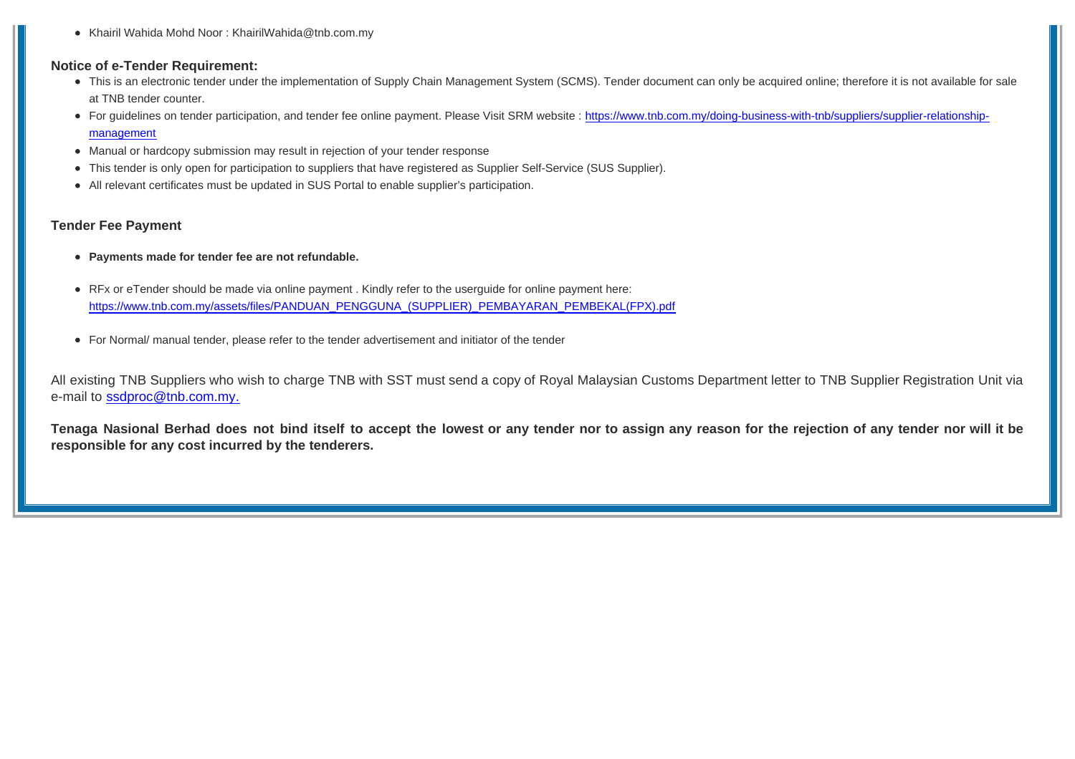Khairil Wahida Mohd Noor : KhairilWahida@tnb.com.my

#### **Notice of e-Tender Requirement:**

- This is an electronic tender under the implementation of Supply Chain Management System (SCMS). Tender document can only be acquired online; therefore it is not available for sale at TNB tender counter.
- For guidelines on tender participation, and tender fee online payment. Please Visit SRM website : https://www.tnb.com.my/doing-business-with-tnb/suppliers/supplier-relationshipmanagement
- Manual or hardcopy submission may result in rejection of your tender response
- This tender is only open for participation to suppliers that have registered as Supplier Self-Service (SUS Supplier).
- All relevant certificates must be updated in SUS Portal to enable supplier's participation.

#### **Tender Fee Payment**

- **Payments made for tender fee are not refundable.**
- RFx or eTender should be made via online payment . Kindly refer to the userguide for online payment here: https://www.tnb.com.my/assets/files/PANDUAN\_PENGGUNA\_(SUPPLIER)\_PEMBAYARAN\_PEMBEKAL(FPX).pdf
- For Normal/ manual tender, please refer to the tender advertisement and initiator of the tender

All existing TNB Suppliers who wish to charge TNB with SST must send a copy of Royal Malaysian Customs Department letter to TNB Supplier Registration Unit via e-mail to ssdproc@tnb.com.my.

**Tenaga Nasional Berhad does not bind itself to accept the lowest or any tender nor to assign any reason for the rejection of any tender nor will it be responsible for any cost incurred by the tenderers.**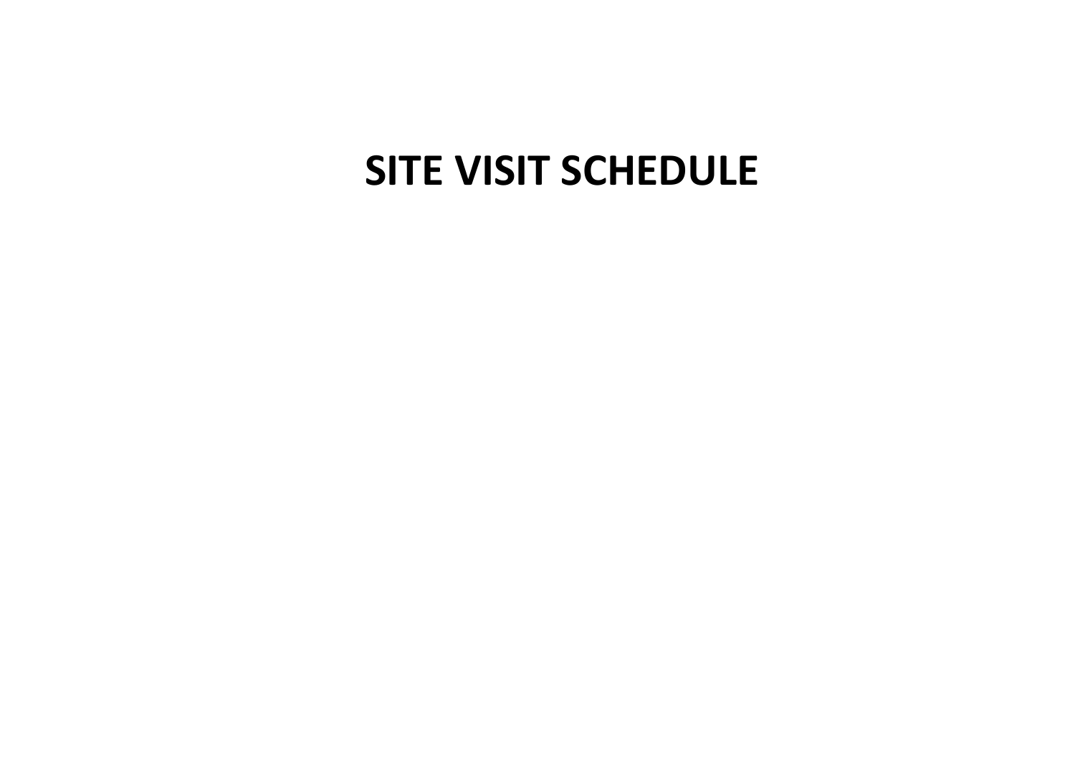# **SITE VISIT SCHEDULE**